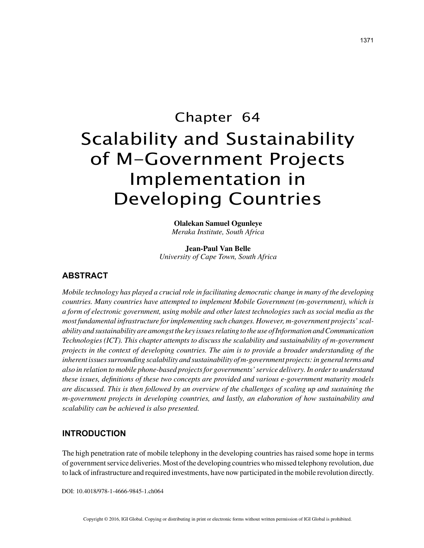# Chapter 64 Scalability and Sustainability of M-Government Projects Implementation in Developing Countries

**Olalekan Samuel Ogunleye** *Meraka Institute, South Africa*

**Jean-Paul Van Belle** *University of Cape Town, South Africa*

## **ABSTRACT**

*Mobile technology has played a crucial role in facilitating democratic change in many of the developing countries. Many countries have attempted to implement Mobile Government (m-government), which is a form of electronic government, using mobile and other latest technologies such as social media as the most fundamental infrastructure for implementing such changes. However, m-government projects' scalability and sustainability are amongst the key issues relating to the use of Information and Communication Technologies (ICT). This chapter attempts to discuss the scalability and sustainability of m-government projects in the context of developing countries. The aim is to provide a broader understanding of the inherent issues surrounding scalability and sustainability of m-government projects: in general terms and also in relation to mobile phone-based projects for governments' service delivery. In order to understand these issues, definitions of these two concepts are provided and various e-government maturity models are discussed. This is then followed by an overview of the challenges of scaling up and sustaining the m-government projects in developing countries, and lastly, an elaboration of how sustainability and scalability can be achieved is also presented.*

## **INTRODUCTION**

The high penetration rate of mobile telephony in the developing countries has raised some hope in terms of government service deliveries. Most of the developing countries who missed telephony revolution, due to lack of infrastructure and required investments, have now participated in the mobile revolution directly.

DOI: 10.4018/978-1-4666-9845-1.ch064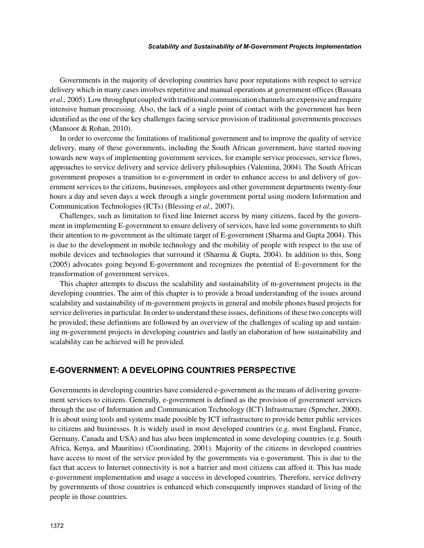#### *Scalability and Sustainability of M-Government Projects Implementation*

Governments in the majority of developing countries have poor reputations with respect to service delivery which in many cases involves repetitive and manual operations at government offices (Bassara *et al.,* 2005). Low throughput coupled with traditional communication channels are expensive and require intensive human processing. Also, the lack of a single point of contact with the government has been identified as the one of the key challenges facing service provision of traditional governments processes (Mansoor & Rohan, 2010).

In order to overcome the limitations of traditional government and to improve the quality of service delivery, many of these governments, including the South African government, have started moving towards new ways of implementing government services, for example service processes, service flows, approaches to service delivery and service delivery philosophies (Valentina, 2004). The South African government proposes a transition to e-government in order to enhance access to and delivery of government services to the citizens, businesses, employees and other government departments twenty-four hours a day and seven days a week through a single government portal using modern Information and Communication Technologies (ICTs) (Blessing *et al.,* 2007).

Challenges, such as limitation to fixed line Internet access by many citizens, faced by the government in implementing E-government to ensure delivery of services, have led some governments to shift their attention to m-government as the ultimate target of E-government (Sharma and Gupta 2004). This is due to the development in mobile technology and the mobility of people with respect to the use of mobile devices and technologies that surround it (Sharma & Gupta, 2004). In addition to this, Song (2005) advocates going beyond E-government and recognizes the potential of E-government for the transformation of government services.

This chapter attempts to discuss the scalability and sustainability of m-government projects in the developing countries. The aim of this chapter is to provide a broad understanding of the issues around scalability and sustainability of m-government projects in general and mobile phones based projects for service deliveries in particular. In order to understand these issues, definitions of these two concepts will be provided; these definitions are followed by an overview of the challenges of scaling up and sustaining m-government projects in developing countries and lastly an elaboration of how sustainability and scalability can be achieved will be provided.

## **E-GOVERNMENT: A DEVELOPING COUNTRIES PERSPECTIVE**

Governments in developing countries have considered e-government as the means of delivering government services to citizens. Generally, e-government is defined as the provision of government services through the use of Information and Communication Technology (ICT) Infrastructure (Sprecher, 2000). It is about using tools and systems made possible by ICT infrastructure to provide better public services to citizens and businesses. It is widely used in most developed countries (e.g. most England, France, Germany, Canada and USA) and has also been implemented in some developing countries (e.g. South Africa, Kenya, and Mauritius) (Coordinating, 2001). Majority of the citizens in developed countries have access to most of the service provided by the governments via e-government. This is due to the fact that access to Internet connectivity is not a barrier and most citizens can afford it. This has made e-government implementation and usage a success in developed countries. Therefore, service delivery by governments of those countries is enhanced which consequently improves standard of living of the people in those countries.